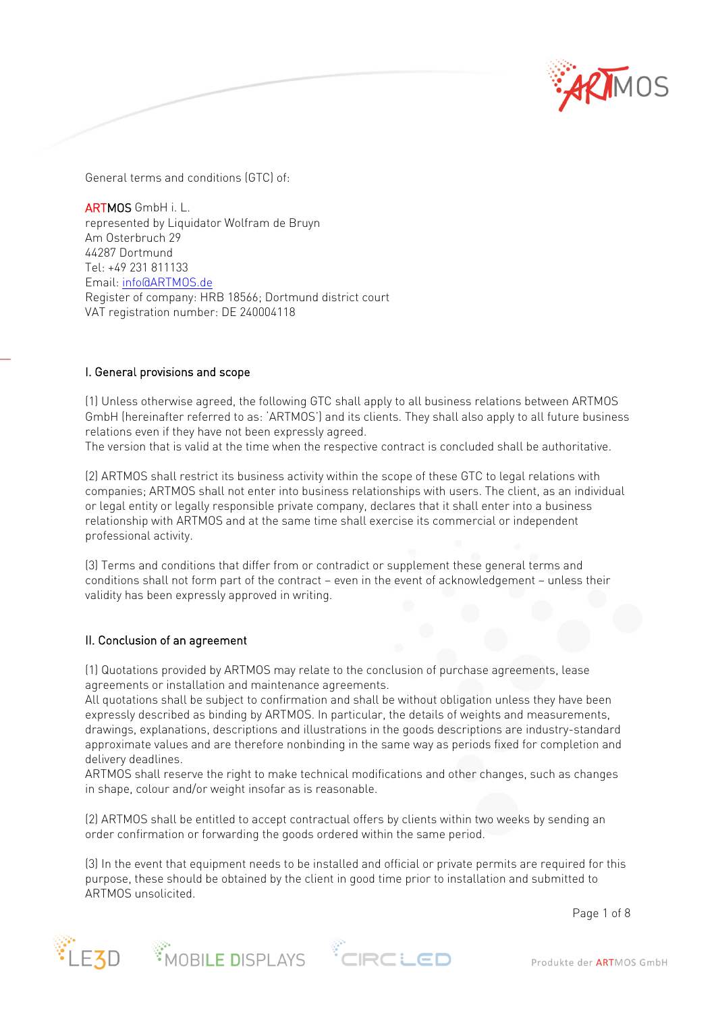

General terms and conditions (GTC) of:

ARTMOS GmbH i. L. represented by Liquidator Wolfram de Bruyn Am Osterbruch 29 44287 Dortmund Tel: +49 231 811133 Email[: info@ARTMOS.de](mailto:info@artmos.de) Register of company: HRB 18566; Dortmund district court VAT registration number: DE 240004118

#### I. General provisions and scope

(1) Unless otherwise agreed, the following GTC shall apply to all business relations between ARTMOS GmbH (hereinafter referred to as: 'ARTMOS') and its clients. They shall also apply to all future business relations even if they have not been expressly agreed.

The version that is valid at the time when the respective contract is concluded shall be authoritative.

(2) ARTMOS shall restrict its business activity within the scope of these GTC to legal relations with companies; ARTMOS shall not enter into business relationships with users. The client, as an individual or legal entity or legally responsible private company, declares that it shall enter into a business relationship with ARTMOS and at the same time shall exercise its commercial or independent professional activity.

(3) Terms and conditions that differ from or contradict or supplement these general terms and conditions shall not form part of the contract – even in the event of acknowledgement – unless their validity has been expressly approved in writing.

#### II. Conclusion of an agreement

(1) Quotations provided by ARTMOS may relate to the conclusion of purchase agreements, lease agreements or installation and maintenance agreements.

All quotations shall be subject to confirmation and shall be without obligation unless they have been expressly described as binding by ARTMOS. In particular, the details of weights and measurements, drawings, explanations, descriptions and illustrations in the goods descriptions are industry-standard approximate values and are therefore nonbinding in the same way as periods fixed for completion and delivery deadlines.

ARTMOS shall reserve the right to make technical modifications and other changes, such as changes in shape, colour and/or weight insofar as is reasonable.

(2) ARTMOS shall be entitled to accept contractual offers by clients within two weeks by sending an order confirmation or forwarding the goods ordered within the same period.

(3) In the event that equipment needs to be installed and official or private permits are required for this purpose, these should be obtained by the client in good time prior to installation and submitted to ARTMOS unsolicited.

Page 1 of 8





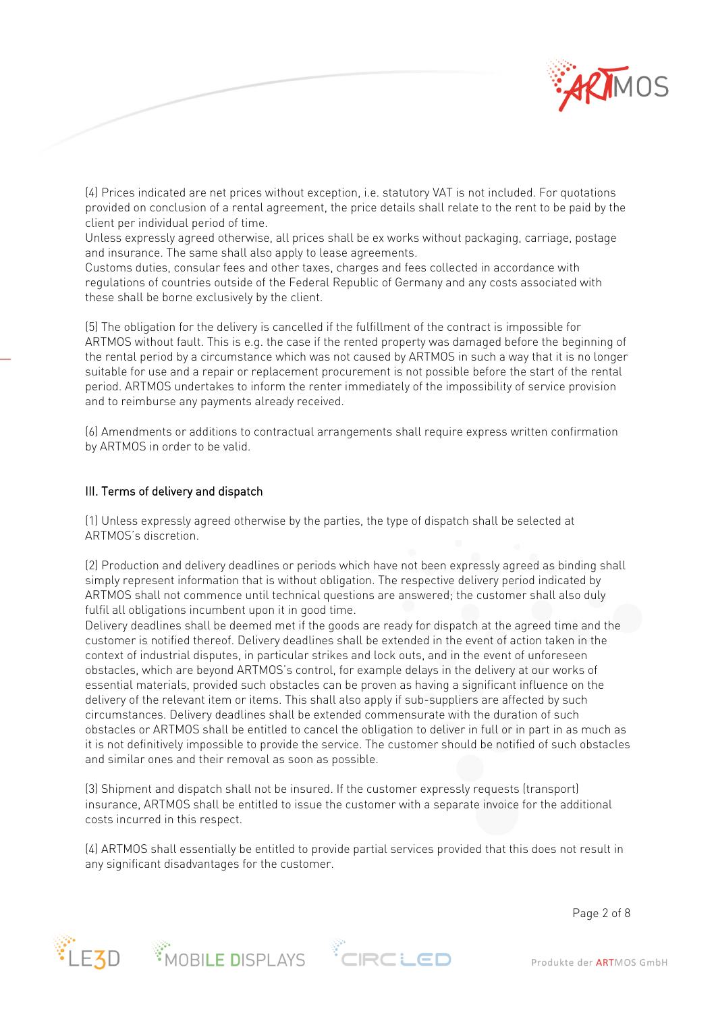

(4) Prices indicated are net prices without exception, i.e. statutory VAT is not included. For quotations provided on conclusion of a rental agreement, the price details shall relate to the rent to be paid by the client per individual period of time.

Unless expressly agreed otherwise, all prices shall be ex works without packaging, carriage, postage and insurance. The same shall also apply to lease agreements.

Customs duties, consular fees and other taxes, charges and fees collected in accordance with regulations of countries outside of the Federal Republic of Germany and any costs associated with these shall be borne exclusively by the client.

(5) The obligation for the delivery is cancelled if the fulfillment of the contract is impossible for ARTMOS without fault. This is e.g. the case if the rented property was damaged before the beginning of the rental period by a circumstance which was not caused by ARTMOS in such a way that it is no longer suitable for use and a repair or replacement procurement is not possible before the start of the rental period. ARTMOS undertakes to inform the renter immediately of the impossibility of service provision and to reimburse any payments already received.

(6) Amendments or additions to contractual arrangements shall require express written confirmation by ARTMOS in order to be valid.

# III. Terms of delivery and dispatch

(1) Unless expressly agreed otherwise by the parties, the type of dispatch shall be selected at ARTMOS's discretion.

(2) Production and delivery deadlines or periods which have not been expressly agreed as binding shall simply represent information that is without obligation. The respective delivery period indicated by ARTMOS shall not commence until technical questions are answered; the customer shall also duly fulfil all obligations incumbent upon it in good time.

Delivery deadlines shall be deemed met if the goods are ready for dispatch at the agreed time and the customer is notified thereof. Delivery deadlines shall be extended in the event of action taken in the context of industrial disputes, in particular strikes and lock outs, and in the event of unforeseen obstacles, which are beyond ARTMOS's control, for example delays in the delivery at our works of essential materials, provided such obstacles can be proven as having a significant influence on the delivery of the relevant item or items. This shall also apply if sub-suppliers are affected by such circumstances. Delivery deadlines shall be extended commensurate with the duration of such obstacles or ARTMOS shall be entitled to cancel the obligation to deliver in full or in part in as much as it is not definitively impossible to provide the service. The customer should be notified of such obstacles and similar ones and their removal as soon as possible.

(3) Shipment and dispatch shall not be insured. If the customer expressly requests (transport) insurance, ARTMOS shall be entitled to issue the customer with a separate invoice for the additional costs incurred in this respect.

(4) ARTMOS shall essentially be entitled to provide partial services provided that this does not result in any significant disadvantages for the customer.

Page 2 of 8







Produkte der ARTMOS GmbH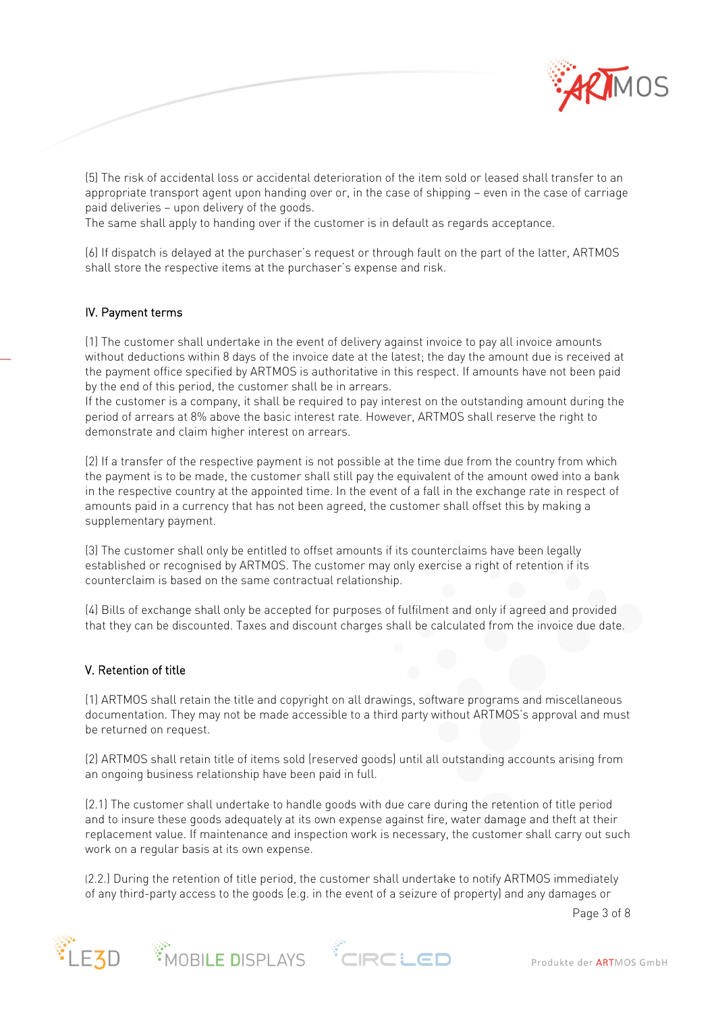

(5) The risk of accidental loss or accidental deterioration of the item sold or leased shall transfer to an appropriate transport agent upon handing over or, in the case of shipping – even in the case of carriage paid deliveries – upon delivery of the goods.

The same shall apply to handing over if the customer is in default as regards acceptance.

(6) If dispatch is delayed at the purchaser's request or through fault on the part of the latter, ARTMOS shall store the respective items at the purchaser's expense and risk.

#### IV. Payment terms

(1) The customer shall undertake in the event of delivery against invoice to pay all invoice amounts without deductions within 8 days of the invoice date at the latest; the day the amount due is received at the payment office specified by ARTMOS is authoritative in this respect. If amounts have not been paid by the end of this period, the customer shall be in arrears.

If the customer is a company, it shall be required to pay interest on the outstanding amount during the period of arrears at 8% above the basic interest rate. However, ARTMOS shall reserve the right to demonstrate and claim higher interest on arrears.

(2) If a transfer of the respective payment is not possible at the time due from the country from which the payment is to be made, the customer shall still pay the equivalent of the amount owed into a bank in the respective country at the appointed time. In the event of a fall in the exchange rate in respect of amounts paid in a currency that has not been agreed, the customer shall offset this by making a supplementary payment.

(3) The customer shall only be entitled to offset amounts if its counterclaims have been legally established or recognised by ARTMOS. The customer may only exercise a right of retention if its counterclaim is based on the same contractual relationship.

(4) Bills of exchange shall only be accepted for purposes of fulfilment and only if agreed and provided that they can be discounted. Taxes and discount charges shall be calculated from the invoice due date.

### V. Retention of title

(1) ARTMOS shall retain the title and copyright on all drawings, software programs and miscellaneous documentation. They may not be made accessible to a third party without ARTMOS's approval and must be returned on request.

(2) ARTMOS shall retain title of items sold (reserved goods) until all outstanding accounts arising from an ongoing business relationship have been paid in full.

(2.1) The customer shall undertake to handle goods with due care during the retention of title period and to insure these goods adequately at its own expense against fire, water damage and theft at their replacement value. If maintenance and inspection work is necessary, the customer shall carry out such work on a regular basis at its own expense.

(2.2.) During the retention of title period, the customer shall undertake to notify ARTMOS immediately of any third-party access to the goods (e.g. in the event of a seizure of property) and any damages or

Page 3 of 8





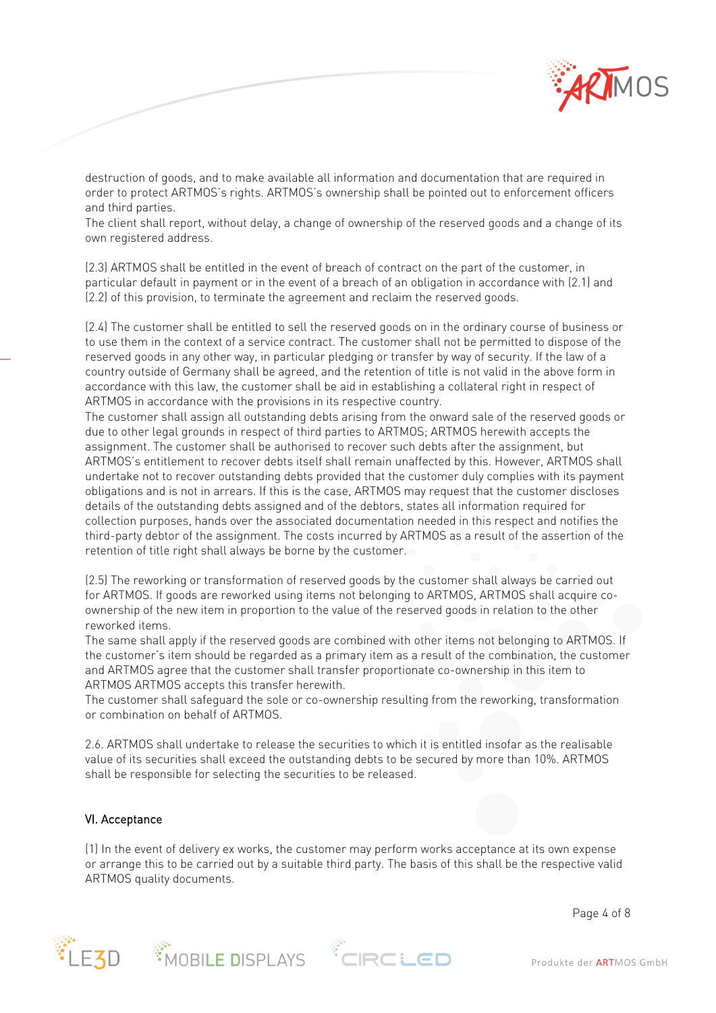

destruction of goods, and to make available all information and documentation that are required in order to protect ARTMOS's rights. ARTMOS's ownership shall be pointed out to enforcement officers and third parties.

The client shall report, without delay, a change of ownership of the reserved goods and a change of its own registered address.

(2.3) ARTMOS shall be entitled in the event of breach of contract on the part of the customer, in particular default in payment or in the event of a breach of an obligation in accordance with (2.1) and (2.2) of this provision, to terminate the agreement and reclaim the reserved goods.

(2.4) The customer shall be entitled to sell the reserved goods on in the ordinary course of business or to use them in the context of a service contract. The customer shall not be permitted to dispose of the reserved goods in any other way, in particular pledging or transfer by way of security. If the law of a country outside of Germany shall be agreed, and the retention of title is not valid in the above form in accordance with this law, the customer shall be aid in establishing a collateral right in respect of ARTMOS in accordance with the provisions in its respective country.

The customer shall assign all outstanding debts arising from the onward sale of the reserved goods or due to other legal grounds in respect of third parties to ARTMOS; ARTMOS herewith accepts the assignment. The customer shall be authorised to recover such debts after the assignment, but ARTMOS's entitlement to recover debts itself shall remain unaffected by this. However, ARTMOS shall undertake not to recover outstanding debts provided that the customer duly complies with its payment obligations and is not in arrears. If this is the case, ARTMOS may request that the customer discloses details of the outstanding debts assigned and of the debtors, states all information required for collection purposes, hands over the associated documentation needed in this respect and notifies the third-party debtor of the assignment. The costs incurred by ARTMOS as a result of the assertion of the retention of title right shall always be borne by the customer.

(2.5) The reworking or transformation of reserved goods by the customer shall always be carried out for ARTMOS. If goods are reworked using items not belonging to ARTMOS, ARTMOS shall acquire coownership of the new item in proportion to the value of the reserved goods in relation to the other reworked items.

The same shall apply if the reserved goods are combined with other items not belonging to ARTMOS. If the customer's item should be regarded as a primary item as a result of the combination, the customer and ARTMOS agree that the customer shall transfer proportionate co-ownership in this item to ARTMOS ARTMOS accepts this transfer herewith.

The customer shall safeguard the sole or co-ownership resulting from the reworking, transformation or combination on behalf of ARTMOS.

2.6. ARTMOS shall undertake to release the securities to which it is entitled insofar as the realisable value of its securities shall exceed the outstanding debts to be secured by more than 10%. ARTMOS shall be responsible for selecting the securities to be released.

### VI. Acceptance

(1) In the event of delivery ex works, the customer may perform works acceptance at its own expense or arrange this to be carried out by a suitable third party. The basis of this shall be the respective valid ARTMOS quality documents.

Page 4 of 8





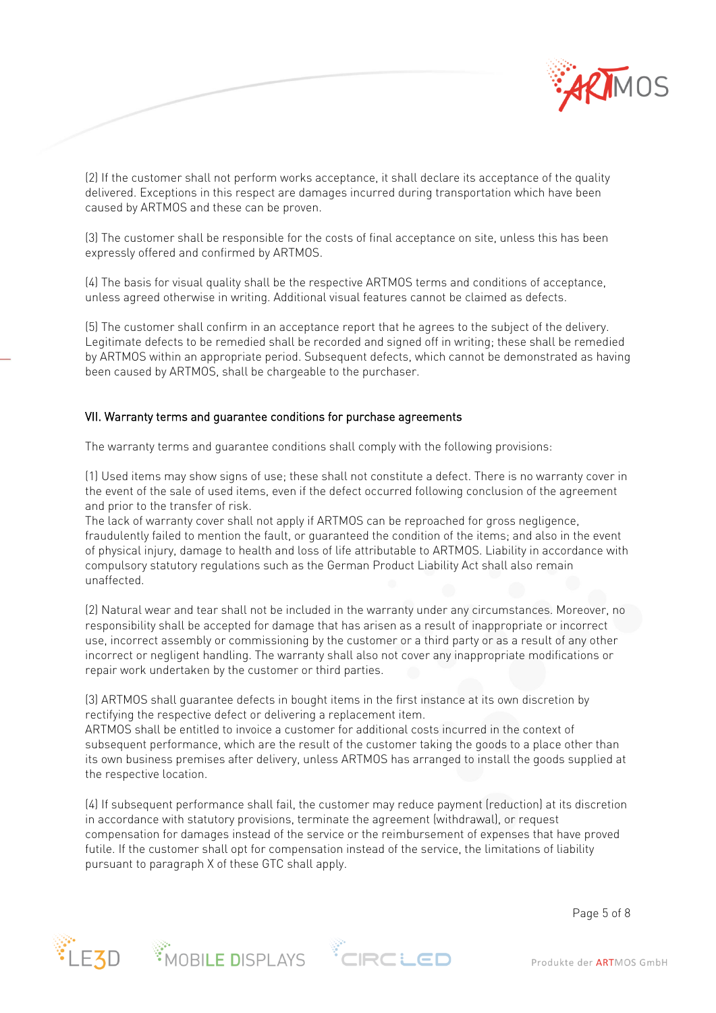

(2) If the customer shall not perform works acceptance, it shall declare its acceptance of the quality delivered. Exceptions in this respect are damages incurred during transportation which have been caused by ARTMOS and these can be proven.

(3) The customer shall be responsible for the costs of final acceptance on site, unless this has been expressly offered and confirmed by ARTMOS.

(4) The basis for visual quality shall be the respective ARTMOS terms and conditions of acceptance, unless agreed otherwise in writing. Additional visual features cannot be claimed as defects.

(5) The customer shall confirm in an acceptance report that he agrees to the subject of the delivery. Legitimate defects to be remedied shall be recorded and signed off in writing; these shall be remedied by ARTMOS within an appropriate period. Subsequent defects, which cannot be demonstrated as having been caused by ARTMOS, shall be chargeable to the purchaser.

### VII. Warranty terms and guarantee conditions for purchase agreements

The warranty terms and guarantee conditions shall comply with the following provisions:

(1) Used items may show signs of use; these shall not constitute a defect. There is no warranty cover in the event of the sale of used items, even if the defect occurred following conclusion of the agreement and prior to the transfer of risk.

The lack of warranty cover shall not apply if ARTMOS can be reproached for gross negligence, fraudulently failed to mention the fault, or guaranteed the condition of the items; and also in the event of physical injury, damage to health and loss of life attributable to ARTMOS. Liability in accordance with compulsory statutory regulations such as the German Product Liability Act shall also remain unaffected.

(2) Natural wear and tear shall not be included in the warranty under any circumstances. Moreover, no responsibility shall be accepted for damage that has arisen as a result of inappropriate or incorrect use, incorrect assembly or commissioning by the customer or a third party or as a result of any other incorrect or negligent handling. The warranty shall also not cover any inappropriate modifications or repair work undertaken by the customer or third parties.

(3) ARTMOS shall guarantee defects in bought items in the first instance at its own discretion by rectifying the respective defect or delivering a replacement item.

ARTMOS shall be entitled to invoice a customer for additional costs incurred in the context of subsequent performance, which are the result of the customer taking the goods to a place other than its own business premises after delivery, unless ARTMOS has arranged to install the goods supplied at the respective location.

(4) If subsequent performance shall fail, the customer may reduce payment (reduction) at its discretion in accordance with statutory provisions, terminate the agreement (withdrawal), or request compensation for damages instead of the service or the reimbursement of expenses that have proved futile. If the customer shall opt for compensation instead of the service, the limitations of liability pursuant to paragraph X of these GTC shall apply.

Page 5 of 8





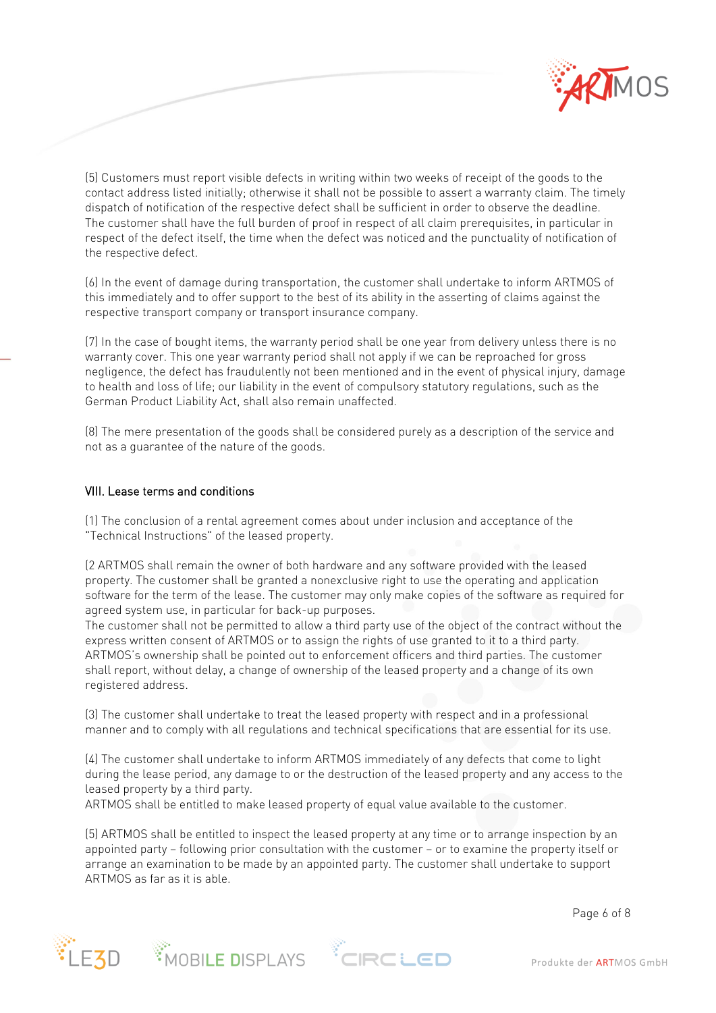

(5) Customers must report visible defects in writing within two weeks of receipt of the goods to the contact address listed initially; otherwise it shall not be possible to assert a warranty claim. The timely dispatch of notification of the respective defect shall be sufficient in order to observe the deadline. The customer shall have the full burden of proof in respect of all claim prerequisites, in particular in respect of the defect itself, the time when the defect was noticed and the punctuality of notification of the respective defect.

(6) In the event of damage during transportation, the customer shall undertake to inform ARTMOS of this immediately and to offer support to the best of its ability in the asserting of claims against the respective transport company or transport insurance company.

(7) In the case of bought items, the warranty period shall be one year from delivery unless there is no warranty cover. This one year warranty period shall not apply if we can be reproached for gross negligence, the defect has fraudulently not been mentioned and in the event of physical injury, damage to health and loss of life; our liability in the event of compulsory statutory regulations, such as the German Product Liability Act, shall also remain unaffected.

(8) The mere presentation of the goods shall be considered purely as a description of the service and not as a guarantee of the nature of the goods.

#### VIII. Lease terms and conditions

(1) The conclusion of a rental agreement comes about under inclusion and acceptance of the "Technical Instructions" of the leased property.

(2 ARTMOS shall remain the owner of both hardware and any software provided with the leased property. The customer shall be granted a nonexclusive right to use the operating and application software for the term of the lease. The customer may only make copies of the software as required for agreed system use, in particular for back-up purposes.

The customer shall not be permitted to allow a third party use of the object of the contract without the express written consent of ARTMOS or to assign the rights of use granted to it to a third party. ARTMOS's ownership shall be pointed out to enforcement officers and third parties. The customer shall report, without delay, a change of ownership of the leased property and a change of its own registered address.

(3) The customer shall undertake to treat the leased property with respect and in a professional manner and to comply with all regulations and technical specifications that are essential for its use.

(4) The customer shall undertake to inform ARTMOS immediately of any defects that come to light during the lease period, any damage to or the destruction of the leased property and any access to the leased property by a third party.

ARTMOS shall be entitled to make leased property of equal value available to the customer.

(5) ARTMOS shall be entitled to inspect the leased property at any time or to arrange inspection by an appointed party – following prior consultation with the customer – or to examine the property itself or arrange an examination to be made by an appointed party. The customer shall undertake to support ARTMOS as far as it is able.

Page 6 of 8





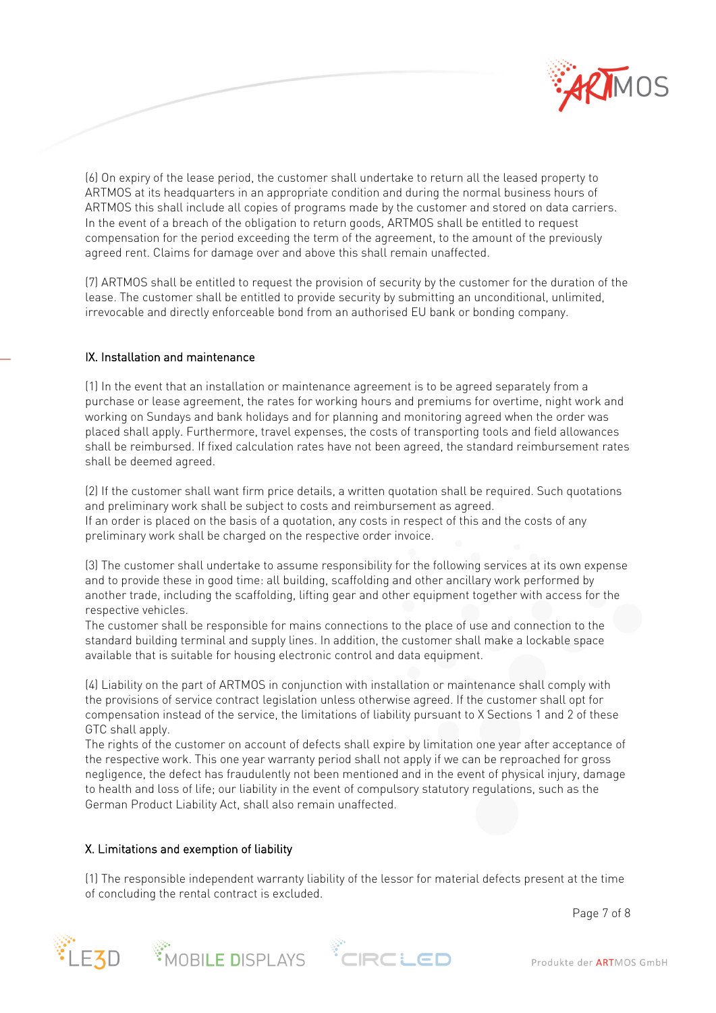

(6) On expiry of the lease period, the customer shall undertake to return all the leased property to ARTMOS at its headquarters in an appropriate condition and during the normal business hours of ARTMOS this shall include all copies of programs made by the customer and stored on data carriers. In the event of a breach of the obligation to return goods, ARTMOS shall be entitled to request compensation for the period exceeding the term of the agreement, to the amount of the previously agreed rent. Claims for damage over and above this shall remain unaffected.

(7) ARTMOS shall be entitled to request the provision of security by the customer for the duration of the lease. The customer shall be entitled to provide security by submitting an unconditional, unlimited, irrevocable and directly enforceable bond from an authorised EU bank or bonding company.

# IX. Installation and maintenance

(1) In the event that an installation or maintenance agreement is to be agreed separately from a purchase or lease agreement, the rates for working hours and premiums for overtime, night work and working on Sundays and bank holidays and for planning and monitoring agreed when the order was placed shall apply. Furthermore, travel expenses, the costs of transporting tools and field allowances shall be reimbursed. If fixed calculation rates have not been agreed, the standard reimbursement rates shall be deemed agreed.

(2) If the customer shall want firm price details, a written quotation shall be required. Such quotations and preliminary work shall be subject to costs and reimbursement as agreed. If an order is placed on the basis of a quotation, any costs in respect of this and the costs of any preliminary work shall be charged on the respective order invoice.

(3) The customer shall undertake to assume responsibility for the following services at its own expense and to provide these in good time: all building, scaffolding and other ancillary work performed by another trade, including the scaffolding, lifting gear and other equipment together with access for the respective vehicles.

The customer shall be responsible for mains connections to the place of use and connection to the standard building terminal and supply lines. In addition, the customer shall make a lockable space available that is suitable for housing electronic control and data equipment.

(4) Liability on the part of ARTMOS in conjunction with installation or maintenance shall comply with the provisions of service contract legislation unless otherwise agreed. If the customer shall opt for compensation instead of the service, the limitations of liability pursuant to X Sections 1 and 2 of these GTC shall apply.

The rights of the customer on account of defects shall expire by limitation one year after acceptance of the respective work. This one year warranty period shall not apply if we can be reproached for gross negligence, the defect has fraudulently not been mentioned and in the event of physical injury, damage to health and loss of life; our liability in the event of compulsory statutory regulations, such as the German Product Liability Act, shall also remain unaffected.

## X. Limitations and exemption of liability

(1) The responsible independent warranty liability of the lessor for material defects present at the time of concluding the rental contract is excluded.

Page 7 of 8







Produkte der ARTMOS GmbH